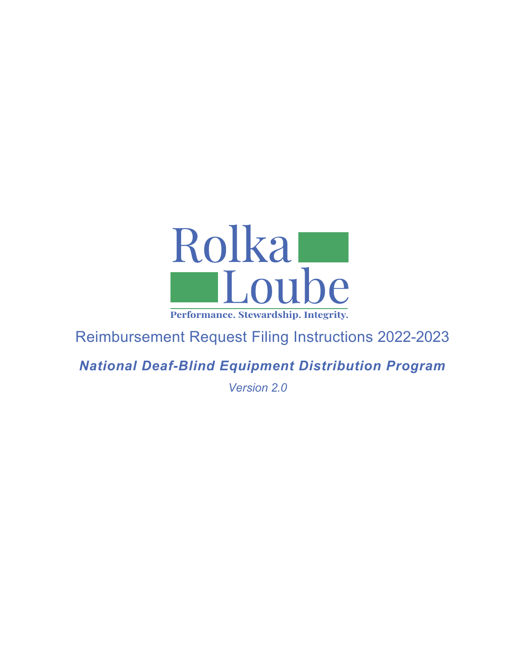

# Reimbursement Request Filing Instructions 2022-2023

*National Deaf-Blind Equipment Distribution Program*

*Version 2.0*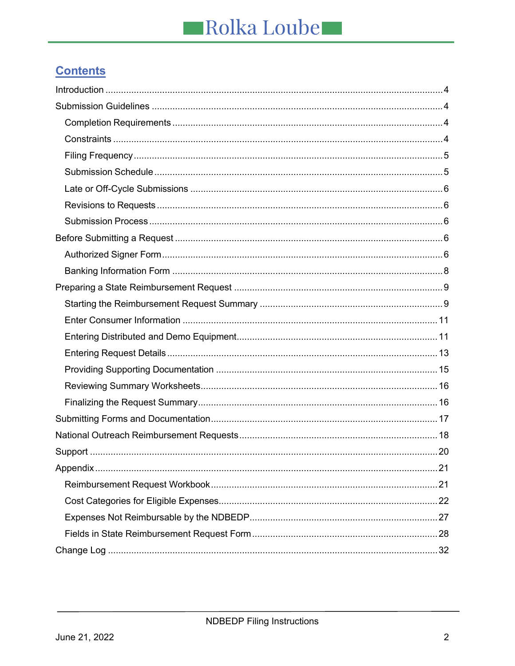# **Contents**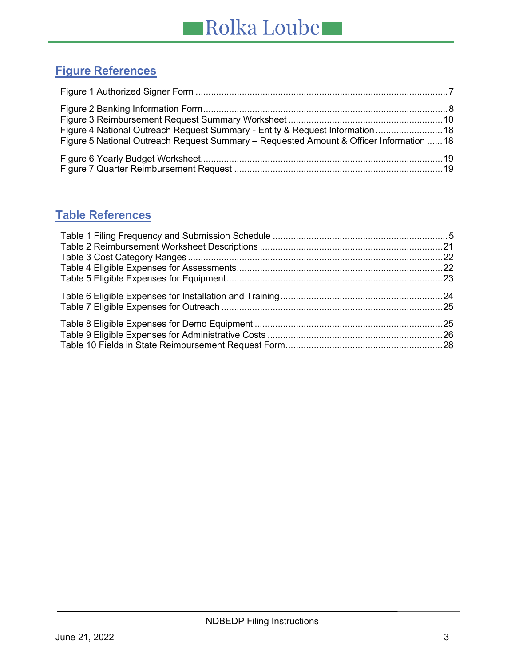# **Figure References**

| Figure 4 National Outreach Request Summary - Entity & Request Information  18<br>Figure 5 National Outreach Request Summary - Requested Amount & Officer Information  18 |  |
|--------------------------------------------------------------------------------------------------------------------------------------------------------------------------|--|
|                                                                                                                                                                          |  |

# **Table References**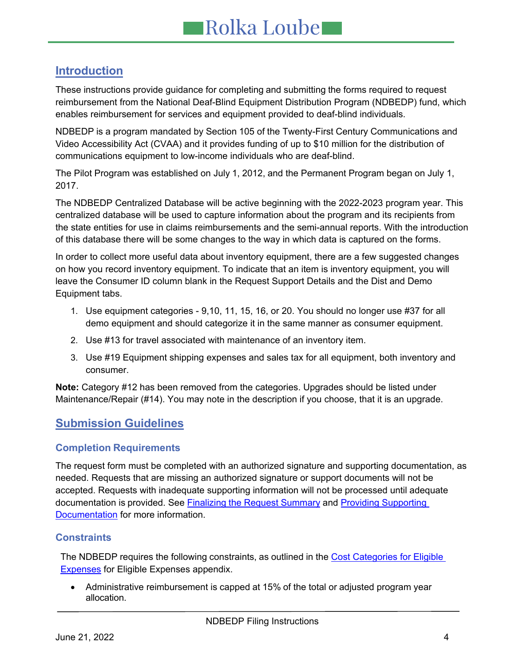# <span id="page-3-0"></span>**Introduction**

These instructions provide guidance for completing and submitting the forms required to request reimbursement from the National Deaf-Blind Equipment Distribution Program (NDBEDP) fund, which enables reimbursement for services and equipment provided to deaf-blind individuals.

NDBEDP is a program mandated by Section 105 of the Twenty-First Century Communications and Video Accessibility Act (CVAA) and it provides funding of up to \$10 million for the distribution of communications equipment to low-income individuals who are deaf-blind.

The Pilot Program was established on July 1, 2012, and the Permanent Program began on July 1, 2017.

The NDBEDP Centralized Database will be active beginning with the 2022-2023 program year. This centralized database will be used to capture information about the program and its recipients from the state entities for use in claims reimbursements and the semi-annual reports. With the introduction of this database there will be some changes to the way in which data is captured on the forms.

In order to collect more useful data about inventory equipment, there are a few suggested changes on how you record inventory equipment. To indicate that an item is inventory equipment, you will leave the Consumer ID column blank in the Request Support Details and the Dist and Demo Equipment tabs.

- 1. Use equipment categories 9,10, 11, 15, 16, or 20. You should no longer use #37 for all demo equipment and should categorize it in the same manner as consumer equipment.
- 2. Use #13 for travel associated with maintenance of an inventory item.
- 3. Use #19 Equipment shipping expenses and sales tax for all equipment, both inventory and consumer.

**Note:** Category #12 has been removed from the categories. Upgrades should be listed under Maintenance/Repair (#14). You may note in the description if you choose, that it is an upgrade.

# <span id="page-3-1"></span>**Submission Guidelines**

## <span id="page-3-2"></span>**Completion Requirements**

The request form must be completed with an authorized signature and supporting documentation, as needed. Requests that are missing an authorized signature or support documents will not be accepted. Requests with inadequate supporting information will not be processed until adequate documentation is provided. See Finalizing the Request Summary and [Providing Supporting](#page-14-0)  [Documentation](#page-14-0) for more information.

# <span id="page-3-3"></span>**Constraints**

The NDBEDP requires the following constraints, as outlined in the Cost Categories for Eligible [Expenses](#page-21-0) for Eligible Expenses appendix.

• Administrative reimbursement is capped at 15% of the total or adjusted program year allocation.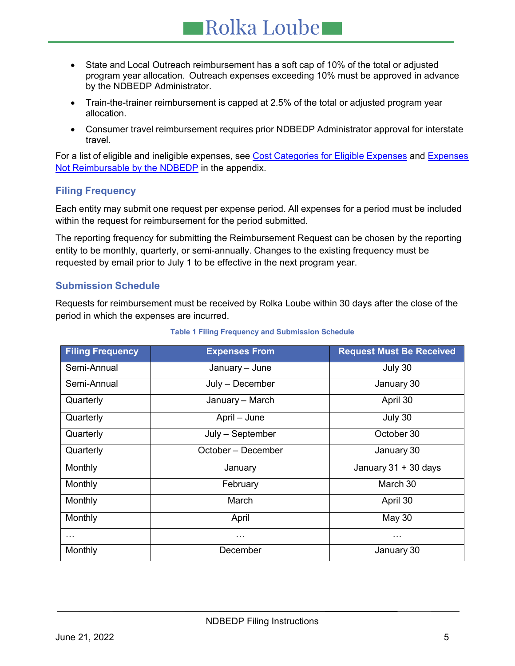- State and Local Outreach reimbursement has a soft cap of 10% of the total or adjusted program year allocation. Outreach expenses exceeding 10% must be approved in advance by the NDBEDP Administrator.
- Train-the-trainer reimbursement is capped at 2.5% of the total or adjusted program year allocation.
- Consumer travel reimbursement requires prior NDBEDP Administrator approval for interstate travel.

For a list of eligible and ineligible expenses, see Cost Categories for Eligible [Expenses](#page-24-2) and Expenses [Not Reimbursable by the NDBEDP](#page-24-2) in the appendix.

# <span id="page-4-0"></span>**Filing Frequency**

Each entity may submit one request per expense period. All expenses for a period must be included within the request for reimbursement for the period submitted.

The reporting frequency for submitting the Reimbursement Request can be chosen by the reporting entity to be monthly, quarterly, or semi-annually. Changes to the existing frequency must be requested by email prior to July 1 to be effective in the next program year.

## <span id="page-4-1"></span>**Submission Schedule**

Requests for reimbursement must be received by Rolka Loube within 30 days after the close of the period in which the expenses are incurred.

<span id="page-4-3"></span><span id="page-4-2"></span>

| <b>Filing Frequency</b> | <b>Expenses From</b> | <b>Request Must Be Received</b> |
|-------------------------|----------------------|---------------------------------|
| Semi-Annual             | January - June       | July 30                         |
| Semi-Annual             | July - December      | January 30                      |
| Quarterly               | January - March      | April 30                        |
| Quarterly               | April - June         | July 30                         |
| Quarterly               | July - September     | October 30                      |
| Quarterly               | October – December   | January 30                      |
| Monthly                 | January              | January 31 + 30 days            |
| Monthly                 | February             | March 30                        |
| Monthly                 | March                | April 30                        |
| Monthly                 | April                | May 30                          |
| $\cdots$                | $\cdots$             | $\cdots$                        |
| Monthly                 | December             | January 30                      |

### **Table 1 Filing Frequency and Submission Schedule**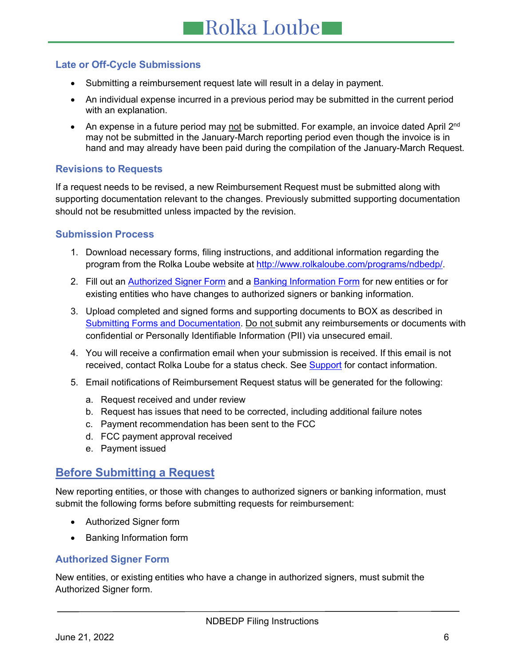# **Late or Off-Cycle Submissions**

- Submitting a reimbursement request late will result in a delay in payment.
- An individual expense incurred in a previous period may be submitted in the current period with an explanation.
- An expense in a future period may not be submitted. For example, an invoice dated April  $2<sup>nd</sup>$ may not be submitted in the January-March reporting period even though the invoice is in hand and may already have been paid during the compilation of the January-March Request.

## <span id="page-5-0"></span>**Revisions to Requests**

If a request needs to be revised, a new Reimbursement Request must be submitted along with supporting documentation relevant to the changes. Previously submitted supporting documentation should not be resubmitted unless impacted by the revision.

## <span id="page-5-1"></span>**Submission Process**

- 1. Download necessary forms, filing instructions, and additional information regarding the program from the Rolka Loube website at [http://www.rolkaloube.com/programs/ndbedp/.](http://www.rolkaloube.com/programs/ndbedp/)
- 2. Fill out an **Authorized Signer Form** and a **Banking Information Form** for new entities or for existing entities who have changes to authorized signers or banking information.
- 3. Upload completed and signed forms and supporting documents to BOX as described in Submitting Forms and Documentation. Do not submit any reimbursements or documents with confidential or Personally Identifiable Information (PII) via unsecured email.
- 4. You will receive a confirmation email when your submission is received. If this email is not received, contact Rolka Loube for a status check. See **Support** for contact information.
- 5. Email notifications of Reimbursement Request status will be generated for the following:
	- a. Request received and under review
	- b. Request has issues that need to be corrected, including additional failure notes
	- c. Payment recommendation has been sent to the FCC
	- d. FCC payment approval received
	- e. Payment issued

# <span id="page-5-2"></span>**Before Submitting a Request**

New reporting entities, or those with changes to authorized signers or banking information, must submit the following forms before submitting requests for reimbursement:

- Authorized Signer form
- Banking Information form

## <span id="page-5-3"></span>**Authorized Signer Form**

New entities, or existing entities who have a change in authorized signers, must submit the Authorized Signer form.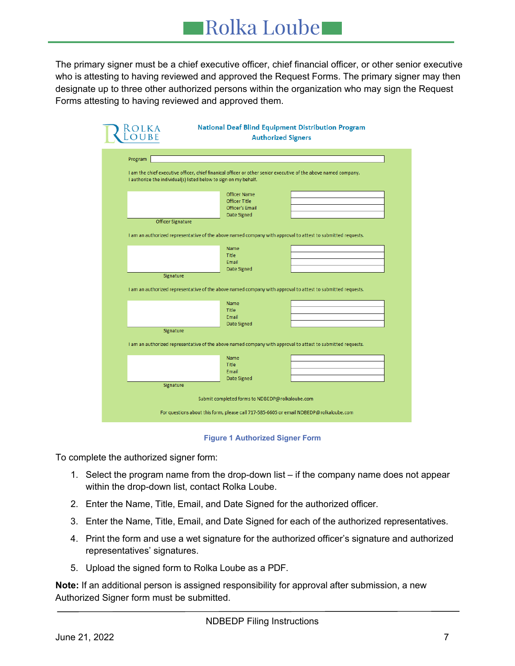The primary signer must be a chief executive officer, chief financial officer, or other senior executive who is attesting to having reviewed and approved the Request Forms. The primary signer may then designate up to three other authorized persons within the organization who may sign the Request Forms attesting to having reviewed and approved them.

| <b>LOLKA</b>      | <b>National Deaf Blind Equipment Distribution Program</b><br><b>Authorized Signers</b>                          |
|-------------------|-----------------------------------------------------------------------------------------------------------------|
| Program           |                                                                                                                 |
|                   |                                                                                                                 |
|                   | I am the chief executive officer, chief finanical officer or other senior executive of the above named company. |
|                   | I authorize the individual(s) listed below to sign on my behalf.                                                |
|                   | <b>Officer Name</b>                                                                                             |
|                   | <b>Officer Title</b>                                                                                            |
|                   | <b>Officer's Email</b>                                                                                          |
|                   | Date Signed                                                                                                     |
| Officer Signature |                                                                                                                 |
|                   | I am an authorized representative of the above named company with approval to attest to submitted requests.     |
|                   |                                                                                                                 |
|                   | Name                                                                                                            |
|                   | <b>Title</b>                                                                                                    |
|                   | Email                                                                                                           |
|                   | Date Signed                                                                                                     |
| Signature         |                                                                                                                 |
|                   | I am an authorized representative of the above named company with approval to attest to submitted requests.     |
|                   |                                                                                                                 |
|                   | Name                                                                                                            |
|                   | <b>Title</b>                                                                                                    |
|                   | Email<br>Date Signed                                                                                            |
| Signature         |                                                                                                                 |
|                   |                                                                                                                 |
|                   | I am an authorized representative of the above named company with approval to attest to submitted requests.     |
|                   | Name                                                                                                            |
|                   | <b>Title</b>                                                                                                    |
|                   | Email                                                                                                           |
|                   | Date Signed                                                                                                     |
| Signature         |                                                                                                                 |
|                   | Submit completed forms to NDBEDP@rolkaloube.com                                                                 |
|                   |                                                                                                                 |
|                   |                                                                                                                 |

**Figure 1 Authorized Signer Form**

<span id="page-6-0"></span>To complete the authorized signer form:

- 1. Select the program name from the drop-down list if the company name does not appear within the drop-down list, contact Rolka Loube.
- 2. Enter the Name, Title, Email, and Date Signed for the authorized officer.
- 3. Enter the Name, Title, Email, and Date Signed for each of the authorized representatives.
- 4. Print the form and use a wet signature for the authorized officer's signature and authorized representatives' signatures.
- 5. Upload the signed form to Rolka Loube as a PDF.

**Note:** If an additional person is assigned responsibility for approval after submission, a new Authorized Signer form must be submitted.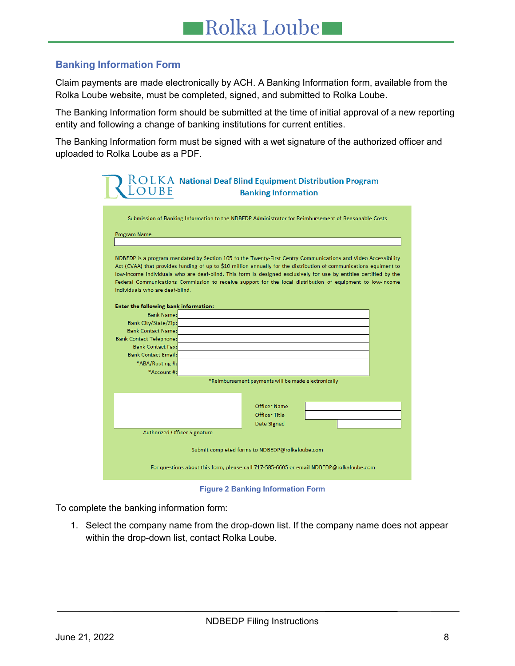# <span id="page-7-0"></span>**Banking Information Form**

Claim payments are made electronically by ACH. A Banking Information form, available from the Rolka Loube website, must be completed, signed, and submitted to Rolka Loube.

The Banking Information form should be submitted at the time of initial approval of a new reporting entity and following a change of banking institutions for current entities.

The Banking Information form must be signed with a wet signature of the authorized officer and uploaded to Rolka Loube as a PDF.

|                                                 | $\rm \&O\rm\,L\,KA$ National Deaf Blind Equipment Distribution Program<br><b>Banking Information</b>                                                                                                                                                                                                                                                                                                                                                                   |  |  |  |
|-------------------------------------------------|------------------------------------------------------------------------------------------------------------------------------------------------------------------------------------------------------------------------------------------------------------------------------------------------------------------------------------------------------------------------------------------------------------------------------------------------------------------------|--|--|--|
| Program Name                                    | Submission of Banking Information to the NDBEDP Administrator for Reimbursement of Reasonable Costs                                                                                                                                                                                                                                                                                                                                                                    |  |  |  |
| individuals who are deaf-blind.                 | NDBEDP is a program mandated by Section 105 fo the Twenty-First Centry Communications and Video Accessibility<br>Act (CVAA) that provides funding of up to \$10 million annually for the distribution of communications equiment to<br>low-income individuals who are deaf-blind. This form is designed exclusively for use by entities certified by the<br>Federal Communications Commission to receive support for the local distribution of equipment to low-income |  |  |  |
| Enter the following bank information:           |                                                                                                                                                                                                                                                                                                                                                                                                                                                                        |  |  |  |
| <b>Bank Name:</b>                               |                                                                                                                                                                                                                                                                                                                                                                                                                                                                        |  |  |  |
| <b>Bank City/State/Zip:</b>                     |                                                                                                                                                                                                                                                                                                                                                                                                                                                                        |  |  |  |
| <b>Bank Contact Name:</b>                       |                                                                                                                                                                                                                                                                                                                                                                                                                                                                        |  |  |  |
| <b>Bank Contact Telephone:</b>                  |                                                                                                                                                                                                                                                                                                                                                                                                                                                                        |  |  |  |
| <b>Bank Contact Fax:</b>                        |                                                                                                                                                                                                                                                                                                                                                                                                                                                                        |  |  |  |
| <b>Bank Contact Email:</b>                      |                                                                                                                                                                                                                                                                                                                                                                                                                                                                        |  |  |  |
| *ABA/Routing #:                                 |                                                                                                                                                                                                                                                                                                                                                                                                                                                                        |  |  |  |
| *Account #:                                     |                                                                                                                                                                                                                                                                                                                                                                                                                                                                        |  |  |  |
|                                                 | *Reimbursement payments will be made electronically                                                                                                                                                                                                                                                                                                                                                                                                                    |  |  |  |
|                                                 |                                                                                                                                                                                                                                                                                                                                                                                                                                                                        |  |  |  |
|                                                 |                                                                                                                                                                                                                                                                                                                                                                                                                                                                        |  |  |  |
|                                                 | Officer Name                                                                                                                                                                                                                                                                                                                                                                                                                                                           |  |  |  |
|                                                 | Officer Title                                                                                                                                                                                                                                                                                                                                                                                                                                                          |  |  |  |
|                                                 | Date Signed                                                                                                                                                                                                                                                                                                                                                                                                                                                            |  |  |  |
| Authorized Officer Signature                    |                                                                                                                                                                                                                                                                                                                                                                                                                                                                        |  |  |  |
| Submit completed forms to NDBEDP@rolkaloube.com |                                                                                                                                                                                                                                                                                                                                                                                                                                                                        |  |  |  |
|                                                 | For questions about this form, please call 717-585-6605 or email NDBEDP@rolkaloube.com                                                                                                                                                                                                                                                                                                                                                                                 |  |  |  |

**Figure 2 Banking Information Form**

<span id="page-7-1"></span>To complete the banking information form:

1. Select the company name from the drop-down list. If the company name does not appear within the drop-down list, contact Rolka Loube.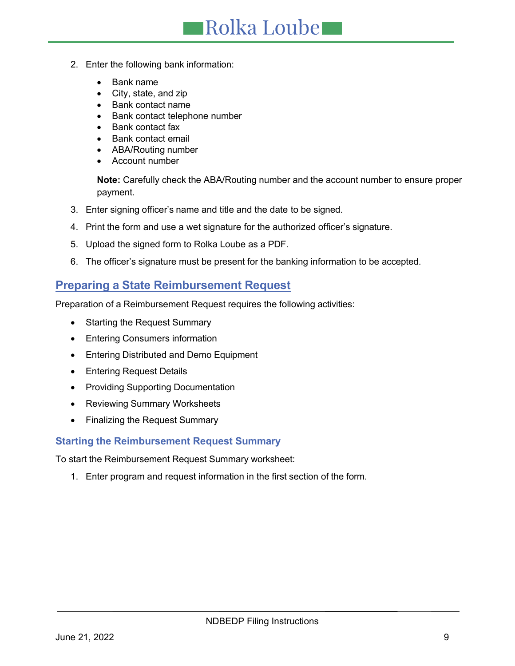- Rolka Loube
- 2. Enter the following bank information:
	- Bank name
	- City, state, and zip
	- Bank contact name
	- Bank contact telephone number
	- Bank contact fax
	- Bank contact email
	- ABA/Routing number
	- Account number

**Note:** Carefully check the ABA/Routing number and the account number to ensure proper payment.

- 3. Enter signing officer's name and title and the date to be signed.
- 4. Print the form and use a wet signature for the authorized officer's signature.
- 5. Upload the signed form to Rolka Loube as a PDF.
- 6. The officer's signature must be present for the banking information to be accepted.

# <span id="page-8-0"></span>**Preparing a State Reimbursement Request**

Preparation of a Reimbursement Request requires the following activities:

- Starting the Request Summary
- Entering Consumers information
- Entering Distributed and Demo Equipment
- Entering Request Details
- Providing Supporting Documentation
- Reviewing Summary Worksheets
- Finalizing the Request Summary

# <span id="page-8-1"></span>**Starting the Reimbursement Request Summary**

To start the Reimbursement Request Summary worksheet:

1. Enter program and request information in the first section of the form.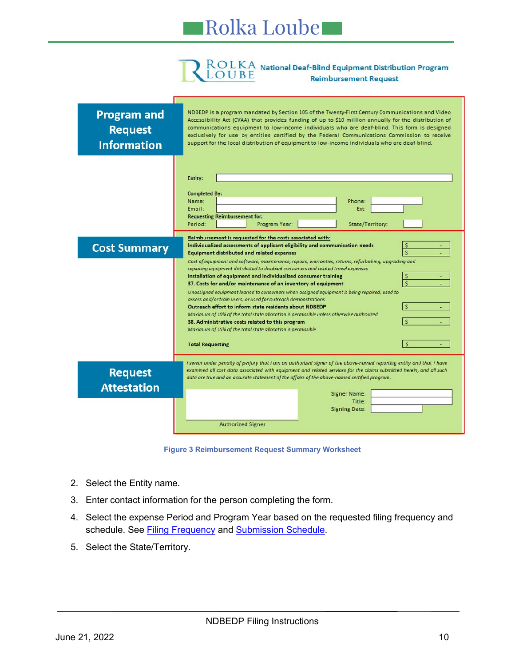# ROLKA National Deaf-Blind Equipment Distribution Program<br>LOUBE Reimbursement Request **Reimbursement Request**

| <b>Program and</b><br><b>Request</b><br><b>Information</b> | NDBEDP is a program mandated by Section 105 of the Twenty-First Century Communications and Video<br>Accessibility Act (CVAA) that provides funding of up to \$10 million annually for the distribution of<br>communications equipment to low-income individuals who are deaf-blind. This form is designed<br>exclusively for use by entities certified by the Federal Communications Commission to receive<br>support for the local distribution of equipment to low-income individuals who are deaf-blind.                                                                                                                                                                                                                                                                                                                                                                                                                                                                                                                                                              |  |  |  |  |
|------------------------------------------------------------|--------------------------------------------------------------------------------------------------------------------------------------------------------------------------------------------------------------------------------------------------------------------------------------------------------------------------------------------------------------------------------------------------------------------------------------------------------------------------------------------------------------------------------------------------------------------------------------------------------------------------------------------------------------------------------------------------------------------------------------------------------------------------------------------------------------------------------------------------------------------------------------------------------------------------------------------------------------------------------------------------------------------------------------------------------------------------|--|--|--|--|
|                                                            | <b>Entity:</b><br><b>Completed By:</b><br>Name:<br>Phone:<br>Email:<br>Ext:<br><b>Requesting Reimbursement for:</b><br>Program Year:<br>Period:<br>State/Territory:                                                                                                                                                                                                                                                                                                                                                                                                                                                                                                                                                                                                                                                                                                                                                                                                                                                                                                      |  |  |  |  |
| <b>Cost Summary</b>                                        | Reimbursement is requested for the costs associated with:<br>Ś<br>Individualized assessments of applicant eligibility and communication needs<br>Ś<br><b>Equipment distributed and related expenses</b><br>Cost of equipment and software, maintenance, repairs, warranties, returns, refurbishing, upgrading and<br>replacing equipment distributed to disabled consumers and related travel expenses<br>Installation of equipment and individualized consumer training<br>S<br>Ś<br>37. Costs for and/or maintenance of an inventory of equipment<br>Unassigned equipment loaned to consumers when assigned equipment is being repaired, used to<br>assess and/or train users, or used for outreach demonstrations<br>Ś<br>Outreach effort to inform state residents about NDBEDP<br>Maximum of 10% of the total state allocation is permissible unless otherwise authorized<br>$\dot{\mathbf{S}}$<br>38. Administrative costs related to this program<br>Maximum of 15% of the total state allocation is permissible<br>$\mathsf{\hat{S}}$<br><b>Total Requesting</b> |  |  |  |  |
| <b>Request</b><br><b>Attestation</b>                       | I swear under penalty of perjury that I am an authorized signer of the above-named reporting entity and that I have<br>examined all cost data associated with equipment and related services for the claims submitted herein, and all such<br>data are true and an accurate statement of the affairs of the above-named certified program.<br><b>Signer Name:</b><br>Title:<br><b>Signing Date:</b><br><b>Authorized Signer</b>                                                                                                                                                                                                                                                                                                                                                                                                                                                                                                                                                                                                                                          |  |  |  |  |

**Figure 3 Reimbursement Request Summary Worksheet**

- <span id="page-9-0"></span>2. Select the Entity name.
- 3. Enter contact information for the person completing the form.
- 4. Select the expense Period and Program Year based on the requested filing frequency and schedule. See Filing Frequency and Submission Schedule.
- 5. Select the State/Territory.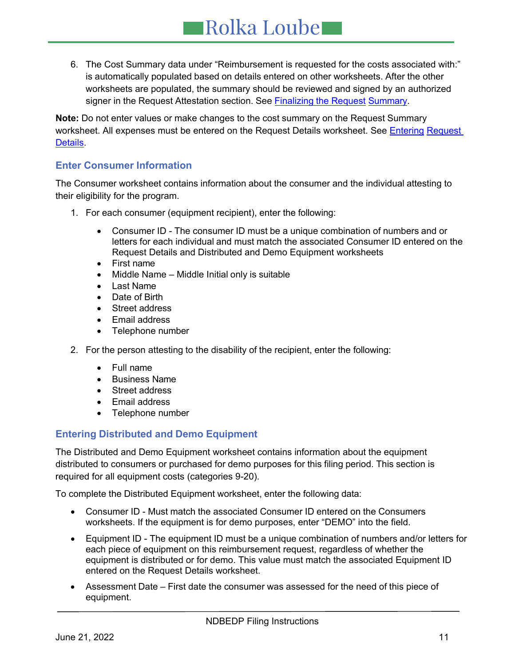6. The Cost Summary data under "Reimbursement is requested for the costs associated with:" is automatically populated based on details entered on other worksheets. After the other worksheets are populated, the summary should be reviewed and signed by an authorized signer in the Request Attestation section. See Finalizing the Request Summary.

**Note:** Do not enter values or make changes to the cost summary on the Request Summary worksheet. All expenses must be entered on the Request Details worksheet. See [Entering](#page-12-0) Request Details.

# <span id="page-10-0"></span>**Enter Consumer Information**

The Consumer worksheet contains information about the consumer and the individual attesting to their eligibility for the program.

- 1. For each consumer (equipment recipient), enter the following:
	- Consumer ID The consumer ID must be a unique combination of numbers and or letters for each individual and must match the associated Consumer ID entered on the Request Details and Distributed and Demo Equipment worksheets
	- First name
	- Middle Name Middle Initial only is suitable
	- Last Name
	- Date of Birth
	- Street address
	- Email address
	- Telephone number
- 2. For the person attesting to the disability of the recipient, enter the following:
	- Full name
	- Business Name
	- Street address
	- Email address
	- Telephone number

# <span id="page-10-1"></span>**Entering Distributed and Demo Equipment**

The Distributed and Demo Equipment worksheet contains information about the equipment distributed to consumers or purchased for demo purposes for this filing period. This section is required for all equipment costs (categories 9-20).

To complete the Distributed Equipment worksheet, enter the following data:

- Consumer ID Must match the associated Consumer ID entered on the Consumers worksheets. If the equipment is for demo purposes, enter "DEMO" into the field.
- Equipment ID The equipment ID must be a unique combination of numbers and/or letters for each piece of equipment on this reimbursement request, regardless of whether the equipment is distributed or for demo. This value must match the associated Equipment ID entered on the Request Details worksheet.
- Assessment Date First date the consumer was assessed for the need of this piece of equipment.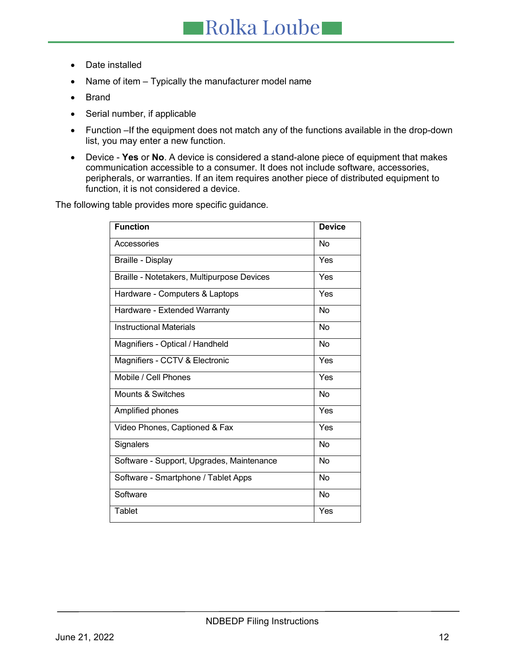- Date installed
- Name of item Typically the manufacturer model name
- **Brand**
- Serial number, if applicable
- Function –If the equipment does not match any of the functions available in the drop-down list, you may enter a new function.
- Device **Yes** or **No**. A device is considered a stand-alone piece of equipment that makes communication accessible to a consumer. It does not include software, accessories, peripherals, or warranties. If an item requires another piece of distributed equipment to function, it is not considered a device.

The following table provides more specific guidance.

| <b>Function</b>                            | <b>Device</b> |
|--------------------------------------------|---------------|
| Accessories                                | No            |
| Braille - Display                          | Yes           |
| Braille - Notetakers, Multipurpose Devices | Yes           |
| Hardware - Computers & Laptops             | Yes           |
| Hardware - Extended Warranty               | No            |
| <b>Instructional Materials</b>             | No            |
| Magnifiers - Optical / Handheld            | <b>No</b>     |
| Magnifiers - CCTV & Electronic             | Yes           |
| Mobile / Cell Phones                       | Yes           |
| Mounts & Switches                          | <b>No</b>     |
| Amplified phones                           | Yes           |
| Video Phones, Captioned & Fax              | Yes           |
| Signalers                                  | <b>No</b>     |
| Software - Support, Upgrades, Maintenance  | No            |
| Software - Smartphone / Tablet Apps        | No            |
| Software                                   | No            |
| Tablet                                     | Yes           |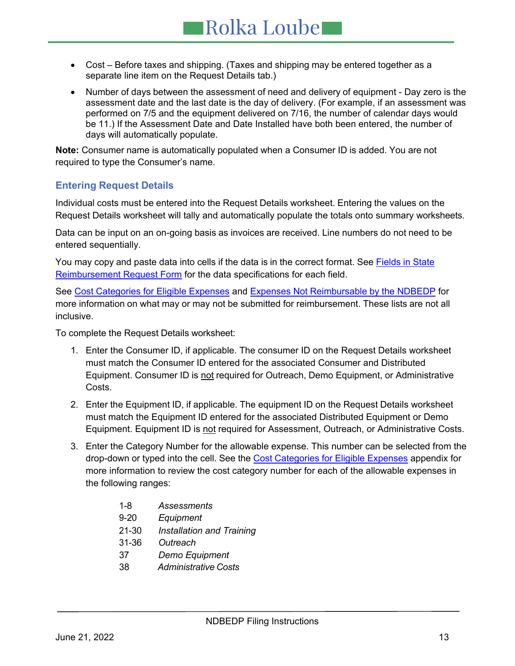- Cost Before taxes and shipping. (Taxes and shipping may be entered together as a separate line item on the Request Details tab.)
- Number of days between the assessment of need and delivery of equipment Day zero is the assessment date and the last date is the day of delivery. (For example, if an assessment was performed on 7/5 and the equipment delivered on 7/16, the number of calendar days would be 11.) If the Assessment Date and Date Installed have both been entered, the number of days will automatically populate.

**Note:** Consumer name is automatically populated when a Consumer ID is added. You are not required to type the Consumer's name.

## <span id="page-12-0"></span>**Entering Request Details**

Individual costs must be entered into the Request Details worksheet. Entering the values on the Request Details worksheet will tally and automatically populate the totals onto summary worksheets.

Data can be input on an on-going basis as invoices are received. Line numbers do not need to be entered sequentially.

You may copy and paste data into cells if the data is in the correct format. See Fields in State Reimbursement Request Form for the data specifications for each field.

See Cost Categories for Eligible Expenses and Expenses Not [Reimbursable](#page-24-2) by the NDBEDP for more information on what may or may not be submitted for reimbursement. These lists are not all inclusive.

To complete the Request Details worksheet:

- 1. Enter the Consumer ID, if applicable. The consumer ID on the Request Details worksheet must match the Consumer ID entered for the associated Consumer and Distributed Equipment. Consumer ID is not required for Outreach, Demo Equipment, or Administrative Costs.
- 2. Enter the Equipment ID, if applicable. The equipment ID on the Request Details worksheet must match the Equipment ID entered for the associated Distributed Equipment or Demo Equipment. Equipment ID is not required for Assessment, Outreach, or Administrative Costs.
- 3. Enter the Category Number for the allowable expense. This number can be selected from the drop-down or typed into the cell. See the Cost Categories for Eligible Expenses appendix for more information to review the cost category number for each of the allowable expenses in the following ranges:
	- 1-8 *[Assessments](#page-21-3)*
	- 9-20 *[Equipment](#page-22-1)*
	- 21-30 *[Installation](#page-22-2) and Training*
	- 31-36 *[Outreach](#page-22-2)*
	- 37 *Demo [Equipment](#page-24-3)*
	- 38 *[Administrative](#page-23-1) Costs*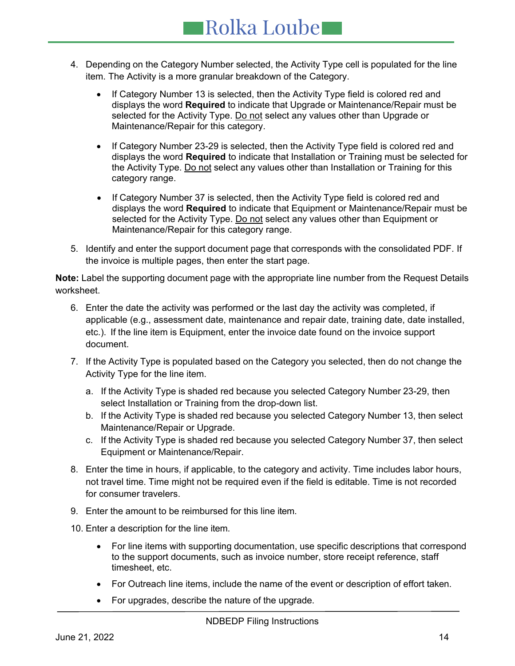- 4. Depending on the Category Number selected, the Activity Type cell is populated for the line item. The Activity is a more granular breakdown of the Category.
	- If Category Number 13 is selected, then the Activity Type field is colored red and displays the word **Required** to indicate that Upgrade or Maintenance/Repair must be selected for the Activity Type. Do not select any values other than Upgrade or Maintenance/Repair for this category.
	- If Category Number 23-29 is selected, then the Activity Type field is colored red and displays the word **Required** to indicate that Installation or Training must be selected for the Activity Type. Do not select any values other than Installation or Training for this category range.
	- If Category Number 37 is selected, then the Activity Type field is colored red and displays the word **Required** to indicate that Equipment or Maintenance/Repair must be selected for the Activity Type. Do not select any values other than Equipment or Maintenance/Repair for this category range.
- 5. Identify and enter the support document page that corresponds with the consolidated PDF. If the invoice is multiple pages, then enter the start page.

**Note:** Label the supporting document page with the appropriate line number from the Request Details worksheet.

- 6. Enter the date the activity was performed or the last day the activity was completed, if applicable (e.g., assessment date, maintenance and repair date, training date, date installed, etc.). If the line item is Equipment, enter the invoice date found on the invoice support document.
- 7. If the Activity Type is populated based on the Category you selected, then do not change the Activity Type for the line item.
	- a. If the Activity Type is shaded red because you selected Category Number 23-29, then select Installation or Training from the drop-down list.
	- b. If the Activity Type is shaded red because you selected Category Number 13, then select Maintenance/Repair or Upgrade.
	- c. If the Activity Type is shaded red because you selected Category Number 37, then select Equipment or Maintenance/Repair.
- 8. Enter the time in hours, if applicable, to the category and activity. Time includes labor hours, not travel time. Time might not be required even if the field is editable. Time is not recorded for consumer travelers.
- 9. Enter the amount to be reimbursed for this line item.
- 10. Enter a description for the line item.
	- For line items with supporting documentation, use specific descriptions that correspond to the support documents, such as invoice number, store receipt reference, staff timesheet, etc.
	- For Outreach line items, include the name of the event or description of effort taken.
	- For upgrades, describe the nature of the upgrade.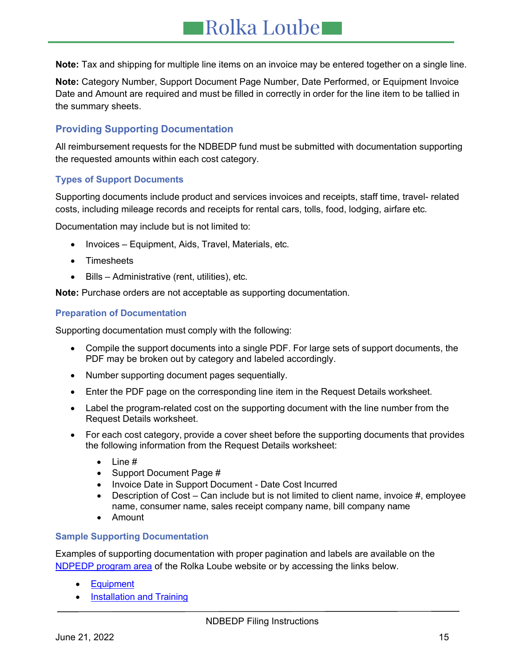**Note:** Tax and shipping for multiple line items on an invoice may be entered together on a single line.

**Note:** Category Number, Support Document Page Number, Date Performed, or Equipment Invoice Date and Amount are required and must be filled in correctly in order for the line item to be tallied in the summary sheets.

## <span id="page-14-0"></span>**Providing Supporting Documentation**

All reimbursement requests for the NDBEDP fund must be submitted with documentation supporting the requested amounts within each cost category.

### **Types of Support Documents**

Supporting documents include product and services invoices and receipts, staff time, travel- related costs, including mileage records and receipts for rental cars, tolls, food, lodging, airfare etc.

Documentation may include but is not limited to:

- Invoices Equipment, Aids, Travel, Materials, etc.
- **Timesheets**
- Bills Administrative (rent, utilities), etc.

**Note:** Purchase orders are not acceptable as supporting documentation.

#### **Preparation of Documentation**

Supporting documentation must comply with the following:

- Compile the support documents into a single PDF. For large sets of support documents, the PDF may be broken out by category and labeled accordingly.
- Number supporting document pages sequentially.
- Enter the PDF page on the corresponding line item in the Request Details worksheet.
- Label the program-related cost on the supporting document with the line number from the Request Details worksheet.
- For each cost category, provide a cover sheet before the supporting documents that provides the following information from the Request Details worksheet:
	- Line #
	- Support Document Page #
	- Invoice Date in Support Document Date Cost Incurred
	- Description of Cost Can include but is not limited to client name, invoice #, employee name, consumer name, sales receipt company name, bill company name
	- Amount

## **Sample Supporting Documentation**

Examples of supporting documentation with proper pagination and labels are available on the [NDPEDP program area](http://www.rolkaloube.com/programs/ndbedp/) of the Rolka Loube website or by accessing the links below.

- [Equipment](http://www.rolkaloube.com/wp-content/uploads/2017/12/Equipment.pdf)
- [Installation](http://www.rolkaloube.com/wp-content/uploads/2017/12/Installation-and-Training.pdf) and Training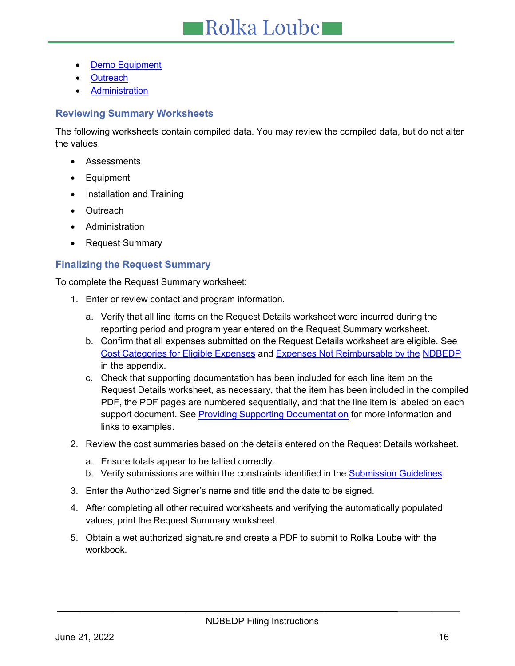- **Demo [Equipment](http://www.rolkaloube.com/wp-content/uploads/2017/12/Demo-Equipment.pdf)**
- **[Outreach](http://www.rolkaloube.com/wp-content/uploads/2017/12/Outreach.pdf)**
- **[Administration](http://www.rolkaloube.com/wp-content/uploads/2017/12/Administration.pdf)**

## <span id="page-15-0"></span>**Reviewing Summary Worksheets**

The following worksheets contain compiled data. You may review the compiled data, but do not alter the values.

- Assessments
- Equipment
- Installation and Training
- Outreach
- Administration
- Request Summary

## <span id="page-15-1"></span>**Finalizing the Request Summary**

To complete the Request Summary worksheet:

- 1. Enter or review contact and program information.
	- a. Verify that all line items on the Request Details worksheet were incurred during the reporting period and program year entered on the Request Summary worksheet.
	- b. Confirm that all expenses submitted on the Request Details worksheet are eligible. See Cost Categories for Eligible Expenses and Expenses Not [Reimbursable](#page-24-2) by the [NDBEDP](#page-24-2) in the appendix.
	- c. Check that supporting documentation has been included for each line item on the Request Details worksheet, as necessary, that the item has been included in the compiled PDF, the PDF pages are numbered sequentially, and that the line item is labeled on each support document. See Providing Supporting [Documentation](#page-14-0) for more information and links to examples.
- 2. Review the cost summaries based on the details entered on the Request Details worksheet.
	- a. Ensure totals appear to be tallied correctly.
	- b. Verify submissions are within the constraints identified in the Submission Guidelines*.*
- 3. Enter the Authorized Signer's name and title and the date to be signed.
- 4. After completing all other required worksheets and verifying the automatically populated values, print the Request Summary worksheet.
- 5. Obtain a wet authorized signature and create a PDF to submit to Rolka Loube with the workbook.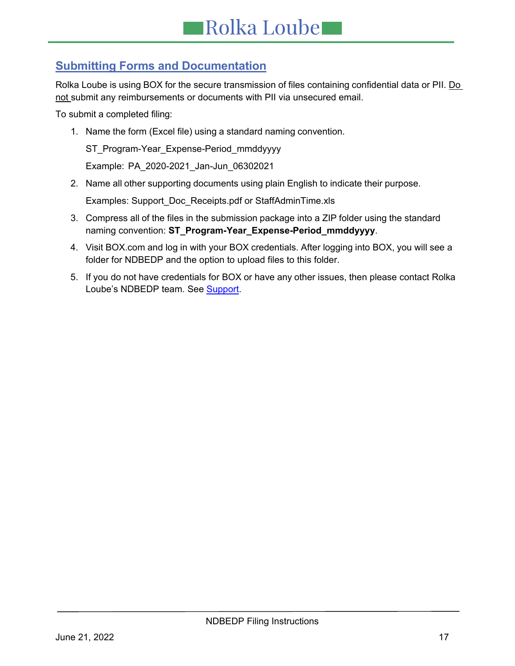# <span id="page-16-0"></span>**Submitting Forms and Documentation**

Rolka Loube is using BOX for the secure transmission of files containing confidential data or PII. Do not submit any reimbursements or documents with PII via unsecured email.

To submit a completed filing:

1. Name the form (Excel file) using a standard naming convention.

ST\_Program-Year\_Expense-Period\_mmddyyyy

Example: PA\_2020-2021\_Jan-Jun\_06302021

2. Name all other supporting documents using plain English to indicate their purpose.

Examples: Support\_Doc\_Receipts.pdf or StaffAdminTime.xls

- 3. Compress all of the files in the submission package into a ZIP folder using the standard naming convention: **ST\_Program-Year\_Expense-Period\_mmddyyyy**.
- 4. Visit BOX.com and log in with your BOX credentials. After logging into BOX, you will see a folder for NDBEDP and the option to upload files to this folder.
- 5. If you do not have credentials for BOX or have any other issues, then please contact Rolka Loube's NDBEDP team. See Support.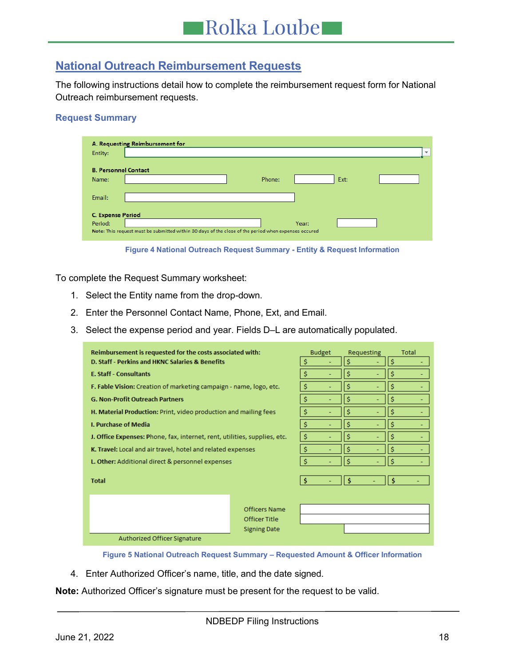# <span id="page-17-0"></span>**National Outreach Reimbursement Requests**

The following instructions detail how to complete the reimbursement request form for National Outreach reimbursement requests.

#### **Request Summary**

| Entity:                              | A. Requesting Reimbursement for                                                                      |        |       |      | $\overline{\mathbf{v}}$ |
|--------------------------------------|------------------------------------------------------------------------------------------------------|--------|-------|------|-------------------------|
| <b>B. Personnel Contact</b><br>Name: |                                                                                                      | Phone: |       | Ext: |                         |
| Email:                               |                                                                                                      |        |       |      |                         |
| <b>C. Expense Period</b><br>Period:  | Note: This request must be submitted within 30 days of the close of the period when expenses occured |        | Year: |      |                         |



<span id="page-17-1"></span>To complete the Request Summary worksheet:

- 1. Select the Entity name from the drop-down.
- 2. Enter the Personnel Contact Name, Phone, Ext, and Email.
- 3. Select the expense period and year. Fields D–L are automatically populated.

| Reimbursement is requested for the costs associated with:                 |                     | <b>Budget</b> |  | Requesting |  | Total |  |
|---------------------------------------------------------------------------|---------------------|---------------|--|------------|--|-------|--|
| D. Staff - Perkins and HKNC Salaries & Benefits                           |                     | \$            |  | Ś          |  | \$    |  |
| <b>E. Staff - Consultants</b>                                             |                     | \$            |  | \$         |  | \$    |  |
| F. Fable Vision: Creation of marketing campaign - name, logo, etc.        |                     | \$            |  | \$         |  | \$    |  |
| <b>G. Non-Profit Outreach Partners</b>                                    |                     | \$            |  | \$         |  | \$    |  |
| H. Material Production: Print, video production and mailing fees          |                     | \$            |  | \$         |  | \$    |  |
| <b>I. Purchase of Media</b>                                               |                     | \$            |  | \$         |  | \$    |  |
| J. Office Expenses: Phone, fax, internet, rent, utilities, supplies, etc. |                     | \$            |  | Ś          |  | Ś     |  |
| K. Travel: Local and air travel, hotel and related expenses               |                     | \$            |  | Ŝ          |  | Ś     |  |
| L. Other: Additional direct & personnel expenses                          |                     | \$            |  | Ś          |  | Ŝ.    |  |
| <b>Total</b>                                                              |                     | -S            |  | s          |  | Ś     |  |
|                                                                           |                     |               |  |            |  |       |  |
|                                                                           |                     |               |  |            |  |       |  |
|                                                                           | Officers Name       |               |  |            |  |       |  |
|                                                                           | Officer Title       |               |  |            |  |       |  |
|                                                                           | <b>Signing Date</b> |               |  |            |  |       |  |
| Authorized Officer Signature                                              |                     |               |  |            |  |       |  |

**Figure 5 National Outreach Request Summary – Requested Amount & Officer Information**

<span id="page-17-2"></span>4. Enter Authorized Officer's name, title, and the date signed.

**Note:** Authorized Officer's signature must be present for the request to be valid.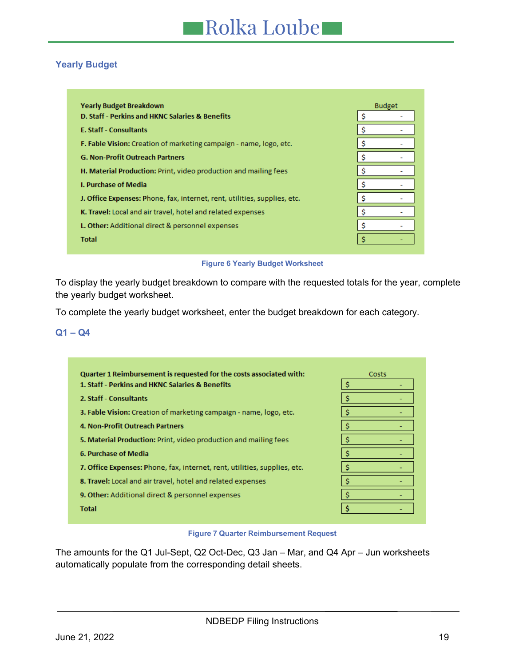## <span id="page-18-0"></span>**Yearly Budget**

| <b>Yearly Budget Breakdown</b>                                            | <b>Budget</b> |
|---------------------------------------------------------------------------|---------------|
| D. Staff - Perkins and HKNC Salaries & Benefits                           |               |
| <b>E. Staff - Consultants</b>                                             |               |
| F. Fable Vision: Creation of marketing campaign - name, logo, etc.        | S             |
| <b>G. Non-Profit Outreach Partners</b>                                    | S             |
| H. Material Production: Print, video production and mailing fees          |               |
| <b>I. Purchase of Media</b>                                               | s             |
| J. Office Expenses: Phone, fax, internet, rent, utilities, supplies, etc. | Ŝ             |
| K. Travel: Local and air travel, hotel and related expenses               | S             |
| L. Other: Additional direct & personnel expenses                          |               |
| <b>Total</b>                                                              |               |

**Figure 6 Yearly Budget Worksheet**

To display the yearly budget breakdown to compare with the requested totals for the year, complete the yearly budget worksheet.

To complete the yearly budget worksheet, enter the budget breakdown for each category.

## **Q1 – Q4**

<span id="page-18-1"></span>

#### **Figure 7 Quarter Reimbursement Request**

The amounts for the Q1 Jul-Sept, Q2 Oct-Dec, Q3 Jan – Mar, and Q4 Apr – Jun worksheets automatically populate from the corresponding detail sheets.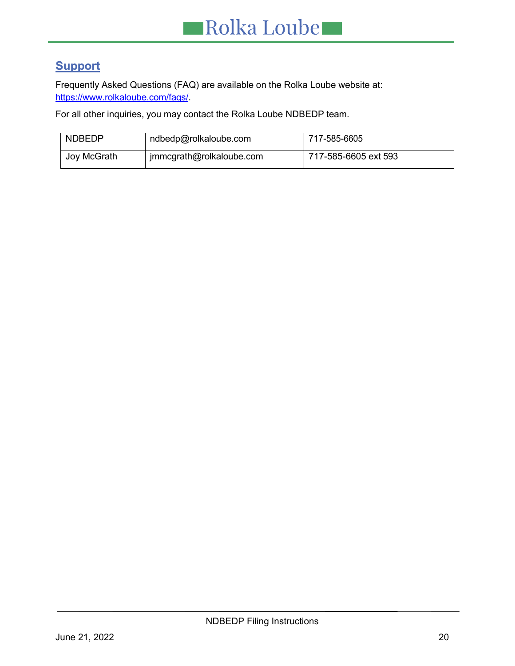# <span id="page-19-0"></span>**Support**

Frequently Asked Questions (FAQ) are available on the Rolka Loube website at: [https://www.rolkaloube.com/faqs/.](https://www.rolkaloube.com/faqs/)

For all other inquiries, you may contact the Rolka Loube NDBEDP team.

| <b>NDBEDP</b> | ndbedp@rolkaloube.com    | 717-585-6605         |
|---------------|--------------------------|----------------------|
| Joy McGrath   | jmmcgrath@rolkaloube.com | 717-585-6605 ext 593 |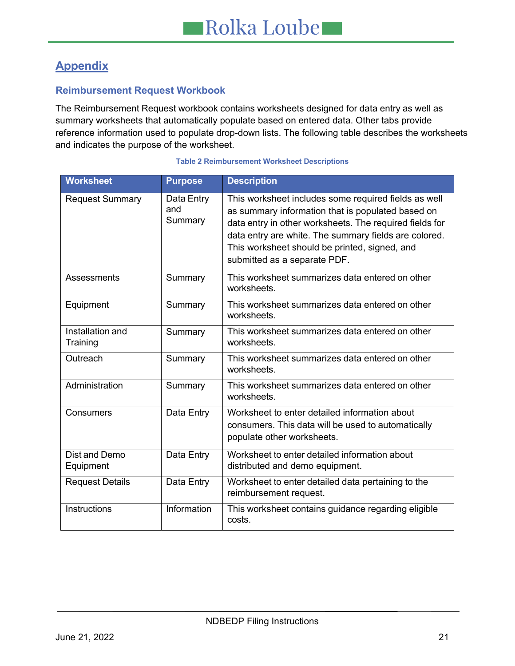# <span id="page-20-0"></span>**Appendix**

# <span id="page-20-1"></span>**Reimbursement Request Workbook**

The Reimbursement Request workbook contains worksheets designed for data entry as well as summary worksheets that automatically populate based on entered data. Other tabs provide reference information used to populate drop-down lists. The following table describes the worksheets and indicates the purpose of the worksheet.

<span id="page-20-2"></span>

| <b>Worksheet</b>             | <b>Purpose</b>               | <b>Description</b>                                                                                                                                                                                                                                                                                             |
|------------------------------|------------------------------|----------------------------------------------------------------------------------------------------------------------------------------------------------------------------------------------------------------------------------------------------------------------------------------------------------------|
| <b>Request Summary</b>       | Data Entry<br>and<br>Summary | This worksheet includes some required fields as well<br>as summary information that is populated based on<br>data entry in other worksheets. The required fields for<br>data entry are white. The summary fields are colored.<br>This worksheet should be printed, signed, and<br>submitted as a separate PDF. |
| Assessments                  | Summary                      | This worksheet summarizes data entered on other<br>worksheets.                                                                                                                                                                                                                                                 |
| Equipment                    | Summary                      | This worksheet summarizes data entered on other<br>worksheets.                                                                                                                                                                                                                                                 |
| Installation and<br>Training | Summary                      | This worksheet summarizes data entered on other<br>worksheets.                                                                                                                                                                                                                                                 |
| Outreach                     | Summary                      | This worksheet summarizes data entered on other<br>worksheets.                                                                                                                                                                                                                                                 |
| Administration               | Summary                      | This worksheet summarizes data entered on other<br>worksheets.                                                                                                                                                                                                                                                 |
| Consumers                    | Data Entry                   | Worksheet to enter detailed information about<br>consumers. This data will be used to automatically<br>populate other worksheets.                                                                                                                                                                              |
| Dist and Demo<br>Equipment   | Data Entry                   | Worksheet to enter detailed information about<br>distributed and demo equipment.                                                                                                                                                                                                                               |
| <b>Request Details</b>       | Data Entry                   | Worksheet to enter detailed data pertaining to the<br>reimbursement request.                                                                                                                                                                                                                                   |
| <b>Instructions</b>          | Information                  | This worksheet contains guidance regarding eligible<br>costs.                                                                                                                                                                                                                                                  |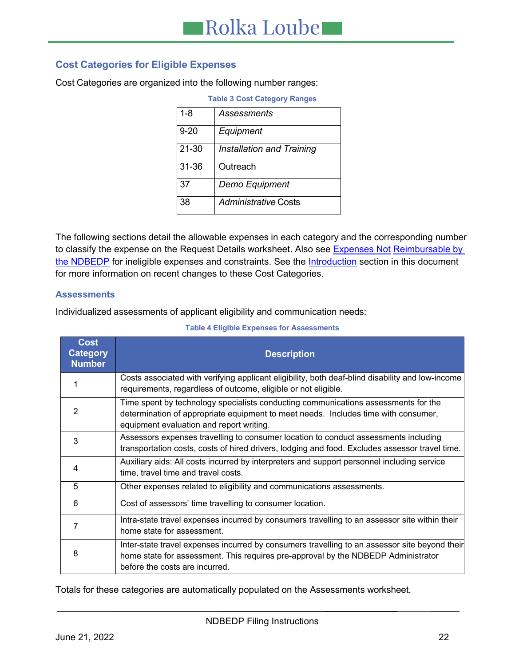# <span id="page-21-0"></span>**Cost Categories for Eligible Expenses**

<span id="page-21-1"></span>Cost Categories are organized into the following number ranges:

| <b>Table 3 Cost Category Ranges</b> |                             |  |  |  |  |
|-------------------------------------|-----------------------------|--|--|--|--|
| $1 - 8$                             | Assessments                 |  |  |  |  |
| $9 - 20$                            | Equipment                   |  |  |  |  |
| 21-30                               | Installation and Training   |  |  |  |  |
| 31-36                               | Outreach                    |  |  |  |  |
| 37                                  | Demo Equipment              |  |  |  |  |
| 38                                  | <b>Administrative Costs</b> |  |  |  |  |

The following sections detail the allowable expenses in each category and the corresponding number to classify the expense on the Request Details worksheet. Also see [Expenses Not](#page-24-2) Reimbursable by [the NDBEDP](#page-24-2) for ineligible expenses and constraints. See the **Introduction** section in this document for more information on recent changes to these Cost Categories.

### <span id="page-21-3"></span>**Assessments**

Individualized assessments of applicant eligibility and communication needs:

<span id="page-21-2"></span>

| <b>Cost</b><br><b>Category</b><br><b>Number</b> | <b>Description</b>                                                                                                                                                                                                   |
|-------------------------------------------------|----------------------------------------------------------------------------------------------------------------------------------------------------------------------------------------------------------------------|
|                                                 | Costs associated with verifying applicant eligibility, both deaf-blind disability and low-income<br>requirements, regardless of outcome, eligible or not eligible.                                                   |
| 2                                               | Time spent by technology specialists conducting communications assessments for the<br>determination of appropriate equipment to meet needs. Includes time with consumer,<br>equipment evaluation and report writing. |
| 3                                               | Assessors expenses travelling to consumer location to conduct assessments including<br>transportation costs, costs of hired drivers, lodging and food. Excludes assessor travel time.                                |
| 4                                               | Auxiliary aids: All costs incurred by interpreters and support personnel including service<br>time, travel time and travel costs.                                                                                    |
| 5                                               | Other expenses related to eligibility and communications assessments.                                                                                                                                                |
| 6                                               | Cost of assessors' time travelling to consumer location.                                                                                                                                                             |
|                                                 | Intra-state travel expenses incurred by consumers travelling to an assessor site within their<br>home state for assessment.                                                                                          |
| 8                                               | Inter-state travel expenses incurred by consumers travelling to an assessor site beyond their<br>home state for assessment. This requires pre-approval by the NDBEDP Administrator<br>before the costs are incurred. |

#### **Table 4 Eligible Expenses for Assessments**

Totals for these categories are automatically populated on the Assessments worksheet.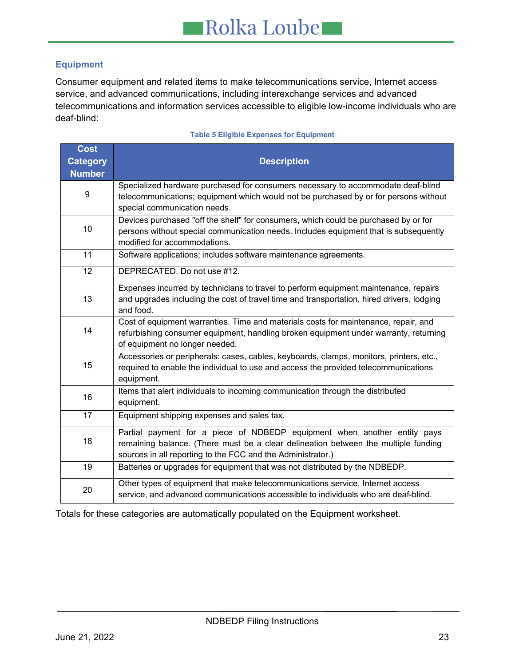# <span id="page-22-1"></span>**Equipment**

Consumer equipment and related items to make telecommunications service, Internet access service, and advanced communications, including interexchange services and advanced telecommunications and information services accessible to eligible low-income individuals who are deaf-blind:

<span id="page-22-0"></span>

| <b>Cost</b><br><b>Category</b> | <b>Description</b>                                                                                                                                                                                                            |
|--------------------------------|-------------------------------------------------------------------------------------------------------------------------------------------------------------------------------------------------------------------------------|
| <b>Number</b>                  |                                                                                                                                                                                                                               |
| 9                              | Specialized hardware purchased for consumers necessary to accommodate deaf-blind<br>telecommunications; equipment which would not be purchased by or for persons without<br>special communication needs.                      |
| 10                             | Devices purchased "off the shelf" for consumers, which could be purchased by or for<br>persons without special communication needs. Includes equipment that is subsequently<br>modified for accommodations.                   |
| 11                             | Software applications; includes software maintenance agreements.                                                                                                                                                              |
| 12                             | DEPRECATED. Do not use #12.                                                                                                                                                                                                   |
| 13                             | Expenses incurred by technicians to travel to perform equipment maintenance, repairs<br>and upgrades including the cost of travel time and transportation, hired drivers, lodging<br>and food.                                |
| 14                             | Cost of equipment warranties. Time and materials costs for maintenance, repair, and<br>refurbishing consumer equipment, handling broken equipment under warranty, returning<br>of equipment no longer needed.                 |
| 15                             | Accessories or peripherals: cases, cables, keyboards, clamps, monitors, printers, etc.,<br>required to enable the individual to use and access the provided telecommunications<br>equipment.                                  |
| 16                             | Items that alert individuals to incoming communication through the distributed<br>equipment.                                                                                                                                  |
| 17                             | Equipment shipping expenses and sales tax.                                                                                                                                                                                    |
| 18                             | Partial payment for a piece of NDBEDP equipment when another entity pays<br>remaining balance. (There must be a clear delineation between the multiple funding<br>sources in all reporting to the FCC and the Administrator.) |
| 19                             | Batteries or upgrades for equipment that was not distributed by the NDBEDP.                                                                                                                                                   |
| 20                             | Other types of equipment that make telecommunications service, Internet access<br>service, and advanced communications accessible to individuals who are deaf-blind.                                                          |

#### **Table 5 Eligible Expenses for Equipment**

<span id="page-22-2"></span>Totals for these categories are automatically populated on the Equipment worksheet.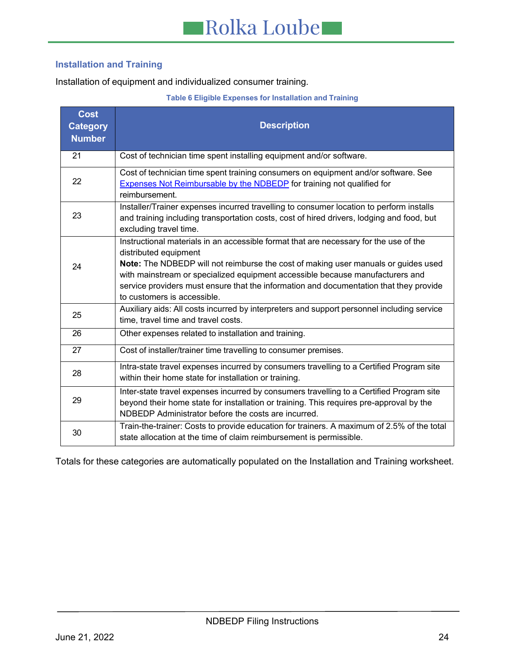## **Installation and Training**

Installation of equipment and individualized consumer training.

#### **Table 6 Eligible Expenses for Installation and Training**

<span id="page-23-0"></span>

| <b>Cost</b><br><b>Category</b><br><b>Number</b> | <b>Description</b>                                                                                                                                                                                                                                                                                                                                                                                             |
|-------------------------------------------------|----------------------------------------------------------------------------------------------------------------------------------------------------------------------------------------------------------------------------------------------------------------------------------------------------------------------------------------------------------------------------------------------------------------|
| 21                                              | Cost of technician time spent installing equipment and/or software.                                                                                                                                                                                                                                                                                                                                            |
| 22                                              | Cost of technician time spent training consumers on equipment and/or software. See<br><b>Expenses Not Reimbursable by the NDBEDP</b> for training not qualified for<br>reimbursement.                                                                                                                                                                                                                          |
| 23                                              | Installer/Trainer expenses incurred travelling to consumer location to perform installs<br>and training including transportation costs, cost of hired drivers, lodging and food, but<br>excluding travel time.                                                                                                                                                                                                 |
| 24                                              | Instructional materials in an accessible format that are necessary for the use of the<br>distributed equipment<br>Note: The NDBEDP will not reimburse the cost of making user manuals or guides used<br>with mainstream or specialized equipment accessible because manufacturers and<br>service providers must ensure that the information and documentation that they provide<br>to customers is accessible. |
| 25                                              | Auxiliary aids: All costs incurred by interpreters and support personnel including service<br>time, travel time and travel costs.                                                                                                                                                                                                                                                                              |
| 26                                              | Other expenses related to installation and training.                                                                                                                                                                                                                                                                                                                                                           |
| 27                                              | Cost of installer/trainer time travelling to consumer premises.                                                                                                                                                                                                                                                                                                                                                |
| 28                                              | Intra-state travel expenses incurred by consumers travelling to a Certified Program site<br>within their home state for installation or training.                                                                                                                                                                                                                                                              |
| 29                                              | Inter-state travel expenses incurred by consumers travelling to a Certified Program site<br>beyond their home state for installation or training. This requires pre-approval by the<br>NDBEDP Administrator before the costs are incurred.                                                                                                                                                                     |
| 30                                              | Train-the-trainer: Costs to provide education for trainers. A maximum of 2.5% of the total<br>state allocation at the time of claim reimbursement is permissible.                                                                                                                                                                                                                                              |

<span id="page-23-1"></span>Totals for these categories are automatically populated on the Installation and Training worksheet.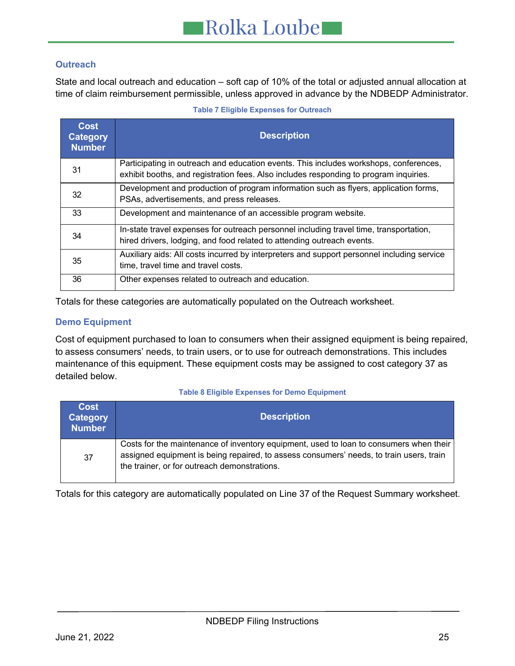# **Outreach**

State and local outreach and education – soft cap of 10% of the total or adjusted annual allocation at time of claim reimbursement permissible, unless approved in advance by the NDBEDP Administrator.

<span id="page-24-0"></span>

| Cost<br>Category<br><b>Number</b> | <b>Description</b>                                                                                                                                                             |
|-----------------------------------|--------------------------------------------------------------------------------------------------------------------------------------------------------------------------------|
| 31                                | Participating in outreach and education events. This includes workshops, conferences,<br>exhibit booths, and registration fees. Also includes responding to program inquiries. |
| 32                                | Development and production of program information such as flyers, application forms,<br>PSAs, advertisements, and press releases.                                              |
| 33                                | Development and maintenance of an accessible program website.                                                                                                                  |
| 34                                | In-state travel expenses for outreach personnel including travel time, transportation,<br>hired drivers, lodging, and food related to attending outreach events.               |
| 35                                | Auxiliary aids: All costs incurred by interpreters and support personnel including service<br>time, travel time and travel costs.                                              |
| 36                                | Other expenses related to outreach and education.                                                                                                                              |

**Table 7 Eligible Expenses for Outreach**

Totals for these categories are automatically populated on the Outreach worksheet.

## <span id="page-24-3"></span>**Demo Equipment**

Cost of equipment purchased to loan to consumers when their assigned equipment is being repaired, to assess consumers' needs, to train users, or to use for outreach demonstrations. This includes maintenance of this equipment. These equipment costs may be assigned to cost category 37 as detailed below.

#### **Table 8 Eligible Expenses for Demo Equipment**

<span id="page-24-1"></span>

| <b>Cost</b><br><b>Category</b><br><b>Number</b> | <b>Description</b>                                                                                                                                                                                                                |
|-------------------------------------------------|-----------------------------------------------------------------------------------------------------------------------------------------------------------------------------------------------------------------------------------|
| 37                                              | Costs for the maintenance of inventory equipment, used to loan to consumers when their<br>assigned equipment is being repaired, to assess consumers' needs, to train users, train<br>the trainer, or for outreach demonstrations. |

<span id="page-24-2"></span>Totals for this category are automatically populated on Line 37 of the Request Summary worksheet.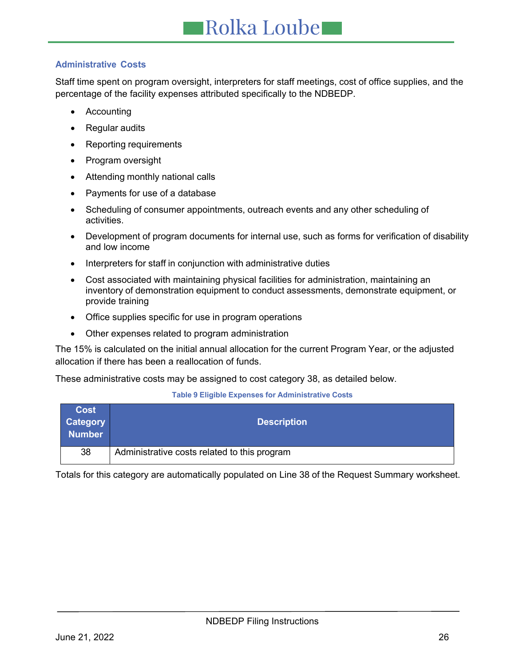# **Administrative Costs**

Staff time spent on program oversight, interpreters for staff meetings, cost of office supplies, and the percentage of the facility expenses attributed specifically to the NDBEDP.

- Accounting
- Regular audits
- Reporting requirements
- Program oversight
- Attending monthly national calls
- Payments for use of a database
- Scheduling of consumer appointments, outreach events and any other scheduling of activities.
- Development of program documents for internal use, such as forms for verification of disability and low income
- Interpreters for staff in conjunction with administrative duties
- Cost associated with maintaining physical facilities for administration, maintaining an inventory of demonstration equipment to conduct assessments, demonstrate equipment, or provide training
- Office supplies specific for use in program operations
- Other expenses related to program administration

The 15% is calculated on the initial annual allocation for the current Program Year, or the adjusted allocation if there has been a reallocation of funds.

These administrative costs may be assigned to cost category 38, as detailed below.

#### **Table 9 Eligible Expenses for Administrative Costs**

<span id="page-25-1"></span>

| <b>Cost</b><br><b>Category</b><br><b>Number</b> | <b>Description</b>                           |
|-------------------------------------------------|----------------------------------------------|
| 38                                              | Administrative costs related to this program |

<span id="page-25-0"></span>Totals for this category are automatically populated on Line 38 of the Request Summary worksheet.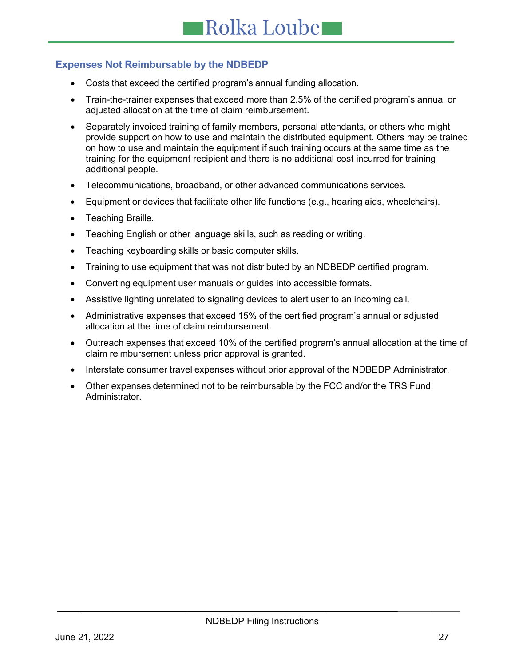# **Expenses Not Reimbursable by the NDBEDP**

- Costs that exceed the certified program's annual funding allocation.
- Train-the-trainer expenses that exceed more than 2.5% of the certified program's annual or adjusted allocation at the time of claim reimbursement.
- Separately invoiced training of family members, personal attendants, or others who might provide support on how to use and maintain the distributed equipment. Others may be trained on how to use and maintain the equipment if such training occurs at the same time as the training for the equipment recipient and there is no additional cost incurred for training additional people.
- Telecommunications, broadband, or other advanced communications services.
- Equipment or devices that facilitate other life functions (e.g., hearing aids, wheelchairs).
- Teaching Braille.
- Teaching English or other language skills, such as reading or writing.
- Teaching keyboarding skills or basic computer skills.
- Training to use equipment that was not distributed by an NDBEDP certified program.
- Converting equipment user manuals or guides into accessible formats.
- Assistive lighting unrelated to signaling devices to alert user to an incoming call.
- Administrative expenses that exceed 15% of the certified program's annual or adjusted allocation at the time of claim reimbursement.
- Outreach expenses that exceed 10% of the certified program's annual allocation at the time of claim reimbursement unless prior approval is granted.
- Interstate consumer travel expenses without prior approval of the NDBEDP Administrator.
- <span id="page-26-0"></span>• Other expenses determined not to be reimbursable by the FCC and/or the TRS Fund Administrator.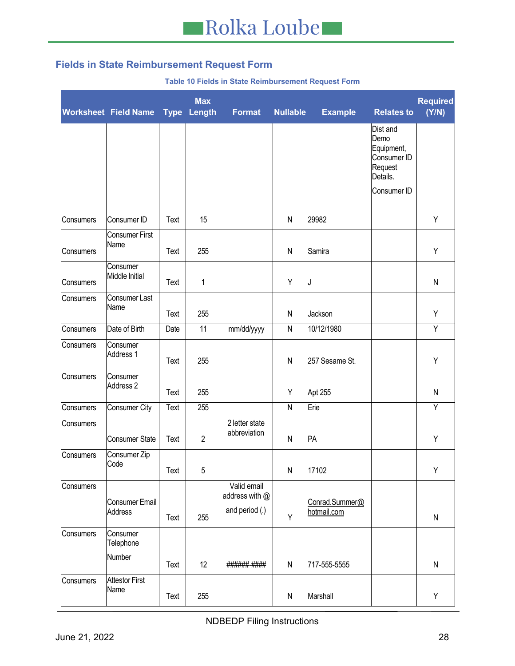# **Fields in State Reimbursement Request Form**

#### **Table 10 Fields in State Reimbursement Request Form**

<span id="page-27-0"></span>

|           | <b>Worksheet Field Name</b>   | <b>Type</b> | <b>Max</b><br>Length | <b>Format</b>                  | <b>Nullable</b> | <b>Example</b> | <b>Relates to</b>                                                                   | <b>Required</b><br>(Y/N) |
|-----------|-------------------------------|-------------|----------------------|--------------------------------|-----------------|----------------|-------------------------------------------------------------------------------------|--------------------------|
|           |                               |             |                      |                                |                 |                | Dist and<br>Demo<br>Equipment,<br>Consumer ID<br>Request<br>Details.<br>Consumer ID |                          |
| Consumers | Consumer ID                   | Text        | 15                   |                                | $\mathsf{N}$    | 29982          |                                                                                     | Υ                        |
| Consumers | <b>Consumer First</b><br>Name | Text        | 255                  |                                | $\mathsf{N}$    | Samira         |                                                                                     | Υ                        |
| Consumers | Consumer<br>Middle Initial    | Text        | 1                    |                                | Y               | J              |                                                                                     | N                        |
| Consumers | Consumer Last<br>Name         | Text        | 255                  |                                | $\mathsf{N}$    | Jackson        |                                                                                     | Υ                        |
| Consumers | Date of Birth                 | Date        | 11                   | mm/dd/yyyy                     | $\mathsf{N}$    | 10/12/1980     |                                                                                     | Y                        |
| Consumers | Consumer<br>Address 1         | Text        | 255                  |                                | $\mathsf{N}$    | 257 Sesame St. |                                                                                     | Υ                        |
| Consumers | Consumer<br>Address 2         | Text        | 255                  |                                | Υ               | Apt 255        |                                                                                     | N                        |
| Consumers | Consumer City                 | Text        | 255                  |                                | ${\sf N}$       | Erie           |                                                                                     | Y                        |
| Consumers | Consumer State                | Text        | $\overline{2}$       | 2 letter state<br>abbreviation | ${\sf N}$       | PA             |                                                                                     | Υ                        |
| Consumers | Consumer Zip<br>Code          | Text        | 5                    |                                | ${\sf N}$       | 17102          |                                                                                     | Υ                        |
| Consumers | Consumer Email                |             |                      | Valid email<br>address with @  |                 | Conrad.Summer@ |                                                                                     |                          |
|           | Address                       | Text        | 255                  | and period (.)                 | Y               | hotmail.com    |                                                                                     | ${\sf N}$                |
| Consumers | Consumer<br>Telephone         |             |                      |                                |                 |                |                                                                                     |                          |
|           | Number                        | Text        | 12                   | ######-####                    | ${\sf N}$       | 717-555-5555   |                                                                                     | N                        |
| Consumers | <b>Attestor First</b><br>Name | Text        | 255                  |                                | ${\sf N}$       | Marshall       |                                                                                     | Y                        |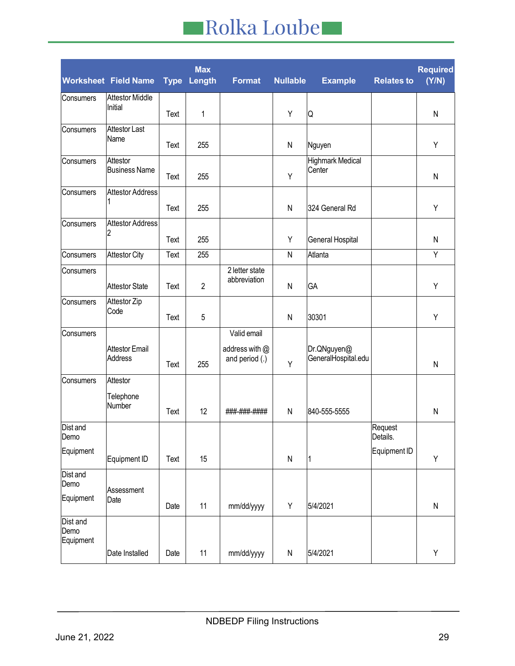|                               | <b>Worksheet Field Name</b>      | <b>Type</b> | Max<br>Length  | <b>Format</b>                    | <b>Nullable</b> | <b>Example</b>                     | <b>Relates to</b>   | <b>Required</b><br>(Y/N) |
|-------------------------------|----------------------------------|-------------|----------------|----------------------------------|-----------------|------------------------------------|---------------------|--------------------------|
| Consumers                     | <b>Attestor Middle</b>           |             |                |                                  |                 |                                    |                     |                          |
|                               | Initial                          | Text        | 1              |                                  | Υ               | Q                                  |                     | ${\sf N}$                |
| Consumers                     | <b>Attestor Last</b>             |             |                |                                  |                 |                                    |                     |                          |
|                               | Name                             | Text        | 255            |                                  | $\mathsf{N}$    | Nguyen                             |                     | Υ                        |
| Consumers                     | Attestor<br><b>Business Name</b> | Text        | 255            |                                  | Υ               | <b>Highmark Medical</b><br>Center  |                     | N                        |
| Consumers                     | <b>Attestor Address</b>          | Text        | 255            |                                  | $\mathsf{N}$    | 324 General Rd                     |                     | Υ                        |
| Consumers                     | <b>Attestor Address</b><br>2     | Text        | 255            |                                  | Υ               | General Hospital                   |                     | N                        |
| Consumers                     | <b>Attestor City</b>             | Text        | 255            |                                  | $\mathsf{N}$    | Atlanta                            |                     | Y                        |
| Consumers                     | <b>Attestor State</b>            | Text        | $\overline{2}$ | 2 letter state<br>abbreviation   | $\mathsf{N}$    | GA                                 |                     | Υ                        |
| Consumers                     | Attestor Zip<br>Code             | Text        | 5              |                                  | $\mathsf{N}$    | 30301                              |                     | Υ                        |
| Consumers                     |                                  |             |                | Valid email                      |                 |                                    |                     |                          |
|                               | <b>Attestor Email</b><br>Address | Text        | 255            | address with @<br>and period (.) | Y               | Dr.QNguyen@<br>GeneralHospital.edu |                     | N                        |
| Consumers                     | Attestor                         |             |                |                                  |                 |                                    |                     |                          |
|                               | Telephone<br>Number              | Text        | 12             | ###-###-####                     | $\mathsf{N}$    | 840-555-5555                       |                     | $\mathsf{N}$             |
| Dist and<br>Demo              |                                  |             |                |                                  |                 |                                    | Request<br>Details. |                          |
| Equipment                     | Equipment ID                     | Text        | 15             |                                  | ${\sf N}$       | 1                                  | Equipment ID        | Υ                        |
| Dist and<br>Demo              | Assessment                       |             |                |                                  |                 |                                    |                     |                          |
| Equipment                     | Date                             | Date        | 11             | mm/dd/yyyy                       | Υ               | 5/4/2021                           |                     | ${\sf N}$                |
| Dist and<br>Demo<br>Equipment |                                  |             |                |                                  |                 |                                    |                     |                          |
|                               | Date Installed                   | Date        | 11             | mm/dd/yyyy                       | ${\sf N}$       | 5/4/2021                           |                     | Υ                        |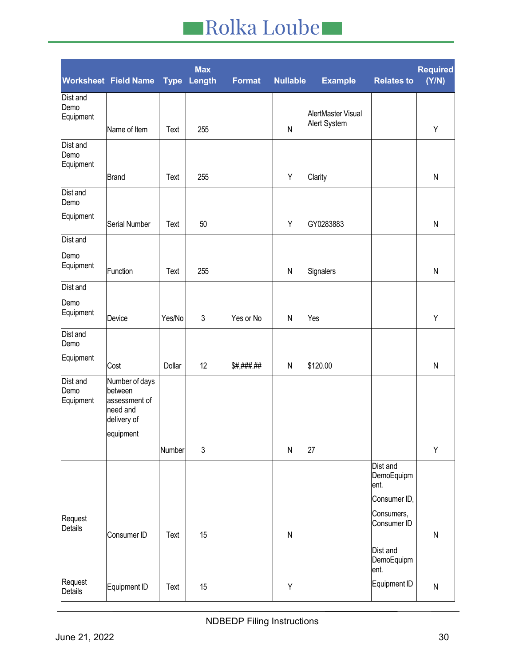|                               | <b>Worksheet Field Name</b>                                           | <b>Type</b> | <b>Max</b><br>Length | <b>Format</b> | <b>Nullable</b> | <b>Example</b>                     | <b>Relates to</b>              | <b>Required</b><br>(Y/N) |
|-------------------------------|-----------------------------------------------------------------------|-------------|----------------------|---------------|-----------------|------------------------------------|--------------------------------|--------------------------|
| Dist and<br>Demo<br>Equipment | Name of Item                                                          | Text        | 255                  |               | ${\sf N}$       | AlertMaster Visual<br>Alert System |                                | Υ                        |
| Dist and<br>Demo<br>Equipment |                                                                       |             |                      |               |                 |                                    |                                |                          |
| Dist and<br>Demo              | <b>Brand</b>                                                          | Text        | 255                  |               | Υ               | Clarity                            |                                | ${\sf N}$                |
| Equipment                     | Serial Number                                                         | Text        | 50                   |               | Υ               | GY0283883                          |                                | ${\sf N}$                |
| Dist and                      |                                                                       |             |                      |               |                 |                                    |                                |                          |
| Demo<br>Equipment             | Function                                                              | Text        | 255                  |               | ${\sf N}$       | Signalers                          |                                | ${\sf N}$                |
| Dist and                      |                                                                       |             |                      |               |                 |                                    |                                |                          |
| Demo<br>Equipment             | Device                                                                | Yes/No      | $\mathfrak{Z}$       | Yes or No     | ${\sf N}$       | Yes                                |                                | Υ                        |
| Dist and<br>Demo              |                                                                       |             |                      |               |                 |                                    |                                |                          |
| Equipment                     | Cost                                                                  | Dollar      | 12                   | \$#,###.##    | ${\sf N}$       | \$120.00                           |                                | ${\sf N}$                |
| Dist and<br>Demo<br>Equipment | Number of days<br>between<br>assessment of<br>need and<br>delivery of |             |                      |               |                 |                                    |                                |                          |
|                               | equipment                                                             | Number      | 3                    |               | ${\sf N}$       | 27                                 |                                | Υ                        |
|                               |                                                                       |             |                      |               |                 |                                    | Dist and<br>DemoEquipm<br>ent. |                          |
|                               |                                                                       |             |                      |               |                 |                                    | Consumer ID,<br>Consumers,     |                          |
| Request<br>Details            | Consumer ID                                                           | Text        | 15                   |               | ${\sf N}$       |                                    | Consumer ID                    | ${\sf N}$                |
|                               |                                                                       |             |                      |               |                 |                                    | Dist and<br>DemoEquipm<br>ent. |                          |
| Request<br>Details            | Equipment ID                                                          | Text        | 15                   |               | Υ               |                                    | Equipment ID                   | ${\sf N}$                |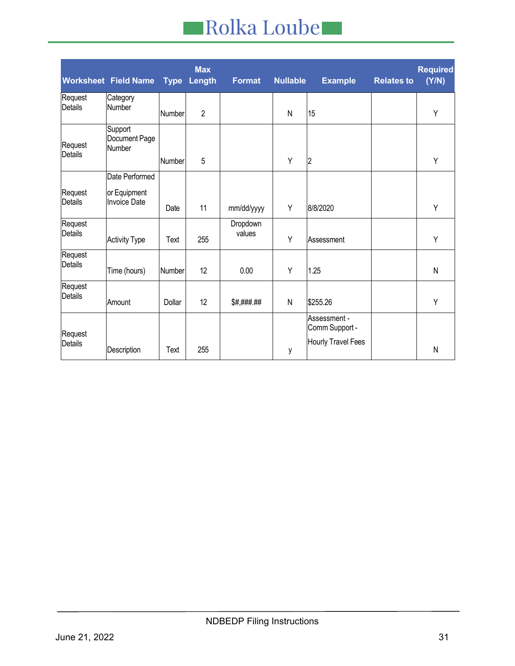|                           | <b>Worksheet Field Name</b>                           | <b>Type</b>   | <b>Max</b><br>Length | <b>Format</b>      | <b>Nullable</b> | <b>Example</b>                                              | <b>Relates to</b> | <b>Required</b><br>(Y/N) |
|---------------------------|-------------------------------------------------------|---------------|----------------------|--------------------|-----------------|-------------------------------------------------------------|-------------------|--------------------------|
| Request<br>Details        | Category<br>Number                                    | <b>Number</b> | $\overline{2}$       |                    | $\mathsf{N}$    | 15                                                          |                   | Y                        |
| Request<br><b>Details</b> | Support<br>Document Page<br>Number                    | Number        | 5                    |                    | Y               | 2                                                           |                   | Y                        |
| Request<br>Details        | Date Performed<br>or Equipment<br><b>Invoice Date</b> | Date          | 11                   | mm/dd/yyyy         | Y               | 8/8/2020                                                    |                   | Y                        |
| Request<br><b>Details</b> | <b>Activity Type</b>                                  | Text          | 255                  | Dropdown<br>values | Y               | Assessment                                                  |                   | Y                        |
| Request<br>Details        | Time (hours)                                          | Number        | 12                   | 0.00               | Y               | 1.25                                                        |                   | N                        |
| Request<br><b>Details</b> | Amount                                                | Dollar        | 12                   | \$#,###.##         | N               | \$255.26                                                    |                   | Y                        |
| Request<br><b>Details</b> | Description                                           | Text          | 255                  |                    | у               | Assessment -<br>Comm Support -<br><b>Hourly Travel Fees</b> |                   | N                        |